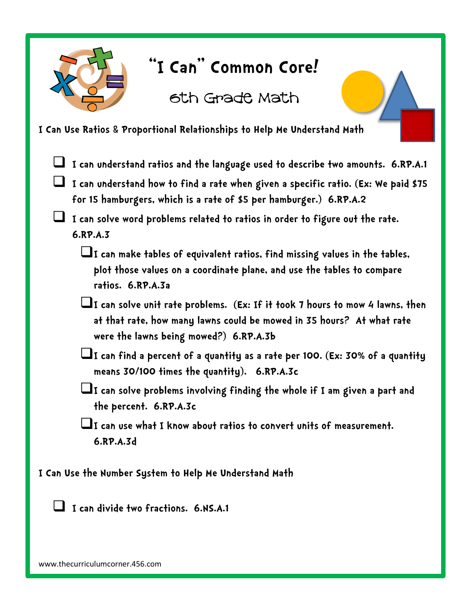

## **"I Can" Common Core!**

6th Grade Math

## **I Can Use Ratios & Proportional Relationships to Help Me Understand Math**

- **I can understand ratios and the language used to describe two amounts. 6.RP.A.1**
- **I can understand how to find a rate when given a specific ratio. (Ex: We paid \$75 for 15 hamburgers, which is a rate of \$5 per hamburger.) 6.RP.A.2**
- **I can solve word problems related to ratios in order to figure out the rate. 6.RP.A.3** 
	- $\Box$ I can make tables of equivalent ratios, find missing values in the tables, **plot those values on a coordinate plane, and use the tables to compare ratios. 6.RP.A.3a**
	- **I can solve unit rate problems. (Ex: If it took 7 hours to mow 4 lawns, then at that rate, how many lawns could be mowed in 35 hours? At what rate were the lawns being mowed?) 6.RP.A.3b**
	- **I can find a percent of a quantity as a rate per 100. (Ex: 30% of a quantity means 30/100 times the quantity). 6.RP.A.3c**
	- **I can solve problems involving finding the whole if I am given a part and the percent. 6.RP.A.3c**
	- **I can use what I know about ratios to convert units of measurement. 6.RP.A.3d**
- **I Can Use the Number System to Help Me Understand Math**

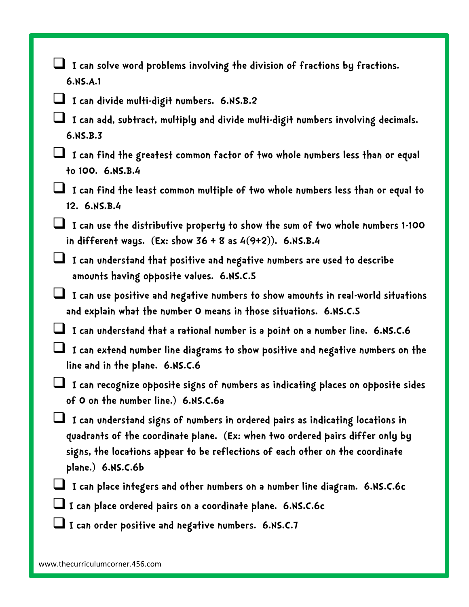- **I can solve word problems involving the division of fractions by fractions. 6.NS.A.1**
- **I can divide multi-digit numbers. 6.NS.B.2**
- **I can add, subtract, multiply and divide multi-digit numbers involving decimals. 6.NS.B.3**
- **I can find the greatest common factor of two whole numbers less than or equal to 100. 6.NS.B.4**
- **I can find the least common multiple of two whole numbers less than or equal to 12. 6.NS.B.4**
- **I can use the distributive property to show the sum of two whole numbers 1-100 in different ways. (Ex: show 36 + 8 as 4(9+2)). 6.NS.B.4**
- **I can understand that positive and negative numbers are used to describe amounts having opposite values. 6.NS.C.5**
- **I can use positive and negative numbers to show amounts in real-world situations and explain what the number 0 means in those situations. 6.NS.C.5**
- **I can understand that a rational number is a point on a number line. 6.NS.C.6**
- **I can extend number line diagrams to show positive and negative numbers on the line and in the plane. 6.NS.C.6**
- **I can recognize opposite signs of numbers as indicating places on opposite sides of 0 on the number line.) 6.NS.C.6a**
- **I can understand signs of numbers in ordered pairs as indicating locations in quadrants of the coordinate plane. (Ex: when two ordered pairs differ only by signs, the locations appear to be reflections of each other on the coordinate plane.) 6.NS.C.6b**
- **I can place integers and other numbers on a number line diagram. 6.NS.C.6c**
- **I can place ordered pairs on a coordinate plane. 6.NS.C.6c**
- **I can order positive and negative numbers. 6.NS.C.7**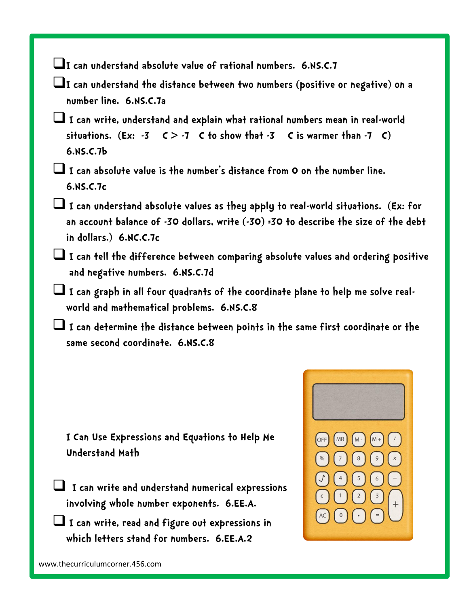**I can understand absolute value of rational numbers. 6.NS.C.7** 

**I can understand the distance between two numbers (positive or negative) on a number line. 6.NS.C.7a** 

 **I can write, understand and explain what rational numbers mean in real-world**  situations.  $(Ex: -3 \quad C > -7 \quad C$  to show that  $-3 \quad C$  is warmer than  $-7 \quad C$ ) **6.NS.C.7b**

 **I can absolute value is the number's distance from 0 on the number line. 6.NS.C.7c**

 **I can understand absolute values as they apply to real-world situations. (Ex: for an account balance of -30 dollars, write (-30) =30 to describe the size of the debt in dollars.) 6.NC.C.7c**

 **I can tell the difference between comparing absolute values and ordering positive and negative numbers. 6.NS.C.7d**

 **I can graph in all four quadrants of the coordinate plane to help me solve realworld and mathematical problems. 6.NS.C.8**

 **I can determine the distance between points in the same first coordinate or the same second coordinate. 6.NS.C.8** 

**I Can Use Expressions and Equations to Help Me Understand Math**

- **I can write and understand numerical expressions involving whole number exponents. 6.EE.A.**
- **I can write, read and figure out expressions in which letters stand for numbers. 6.EE.A.2**

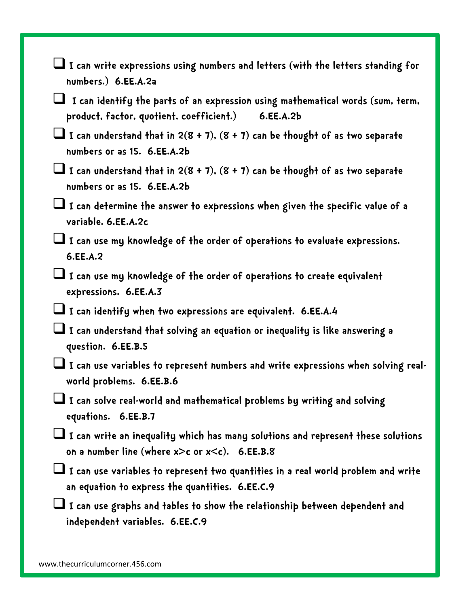- **I can write expressions using numbers and letters (with the letters standing for numbers.) 6.EE.A.2a**
- **I can identify the parts of an expression using mathematical words (sum, term, product, factor, quotient, coefficient.) 6.EE.A.2b**
- **I can understand that in 2(8 + 7), (8 + 7) can be thought of as two separate numbers or as 15. 6.EE.A.2b**
- **I can understand that in 2(8 + 7), (8 + 7) can be thought of as two separate numbers or as 15. 6.EE.A.2b**
- **I can determine the answer to expressions when given the specific value of a variable. 6.EE.A.2c**
- **I can use my knowledge of the order of operations to evaluate expressions. 6.EE.A.2**
- **I can use my knowledge of the order of operations to create equivalent expressions. 6.EE.A.3**
- **I can identify when two expressions are equivalent. 6.EE.A.4**
- **I can understand that solving an equation or inequality is like answering a question. 6.EE.B.5**
- I can use variables to represent numbers and write expressions when solving real**world problems. 6.EE.B.6**
- **I can solve real-world and mathematical problems by writing and solving equations. 6.EE.B.7**
- **I can write an inequality which has many solutions and represent these solutions on a number line (where x>c or x<c). 6.EE.B.8**
- **I can use variables to represent two quantities in a real world problem and write an equation to express the quantities. 6.EE.C.9**
- **I can use graphs and tables to show the relationship between dependent and independent variables. 6.EE.C.9**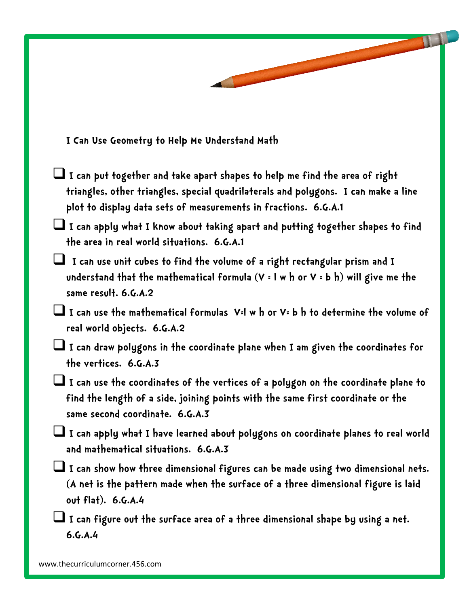**I Can Use Geometry to Help Me Understand Math**

- **I can put together and take apart shapes to help me find the area of right triangles, other triangles, special quadrilaterals and polygons. I can make a line plot to display data sets of measurements in fractions. 6.G.A.1**
- **I can apply what I know about taking apart and putting together shapes to find the area in real world situations. 6.G.A.1**
- **I can use unit cubes to find the volume of a right rectangular prism and I understand that the mathematical formula (V = l w h or V = b h) will give me the same result. 6.G.A.2**

 **I can use the mathematical formulas V=l w h or V= b h to determine the volume of real world objects. 6.G.A.2** 

 **I can draw polygons in the coordinate plane when I am given the coordinates for the vertices. 6.G.A.3** 

 **I can use the coordinates of the vertices of a polygon on the coordinate plane to find the length of a side, joining points with the same first coordinate or the same second coordinate. 6.G.A.3** 

 **I can apply what I have learned about polygons on coordinate planes to real world and mathematical situations. 6.G.A.3** 

 **I can show how three dimensional figures can be made using two dimensional nets. (A net is the pattern made when the surface of a three dimensional figure is laid out flat). 6.G.A.4** 

 **I can figure out the surface area of a three dimensional shape by using a net. 6.G.A.4**